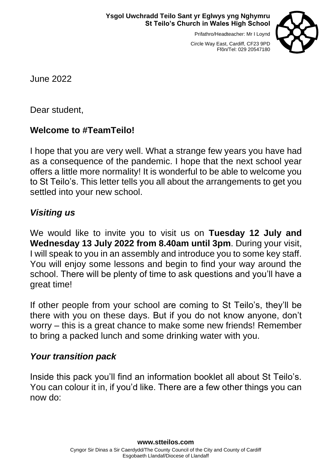Prifathro/Headteacher: Mr I Loynd



Circle Way East, Cardiff, CF23 9PD Ffôn/Tel: 029 20547180

June 2022

Dear student,

## **Welcome to #TeamTeilo!**

I hope that you are very well. What a strange few years you have had as a consequence of the pandemic. I hope that the next school year offers a little more normality! It is wonderful to be able to welcome you to St Teilo's. This letter tells you all about the arrangements to get you settled into your new school.

# *Visiting us*

We would like to invite you to visit us on **Tuesday 12 July and Wednesday 13 July 2022 from 8.40am until 3pm**. During your visit, I will speak to you in an assembly and introduce you to some key staff. You will enjoy some lessons and begin to find your way around the school. There will be plenty of time to ask questions and you'll have a great time!

If other people from your school are coming to St Teilo's, they'll be there with you on these days. But if you do not know anyone, don't worry – this is a great chance to make some new friends! Remember to bring a packed lunch and some drinking water with you.

### *Your transition pack*

Inside this pack you'll find an information booklet all about St Teilo's. You can colour it in, if you'd like. There are a few other things you can now do: